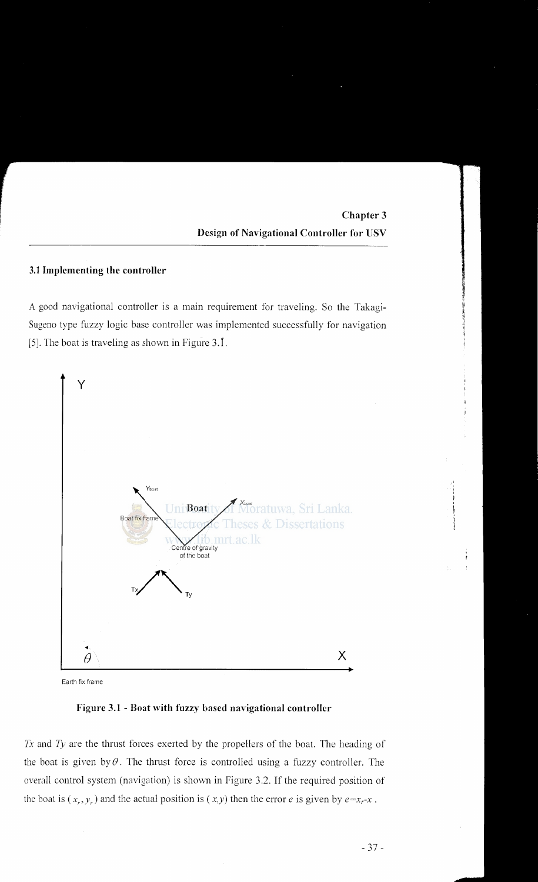<sup>~</sup> ~ ,, )li

### **3.1 Implementing the controller**

A good navigational controller is a main requirement for traveling. So the Takagi-Sugeno type fuzzy logic base controller was implemented successfully for navigation [5]. The boat is traveling as shown in Figure 3.1.



Earth fix frame

**Figure 3.1 - Boat with fuzzy based navigational controller** 

*Tx* and *Ty* are the thrust forces exerted by the propellers of the boat. The heading of the boat is given by  $\theta$ . The thrust force is controlled using a fuzzy controller. The overall control system (navigation) is shown in Figure 3.2. If the required position of the boat is  $(x_r, y_r)$  and the actual position is  $(x,y)$  then the error *e* is given by  $e=x_r-x$ .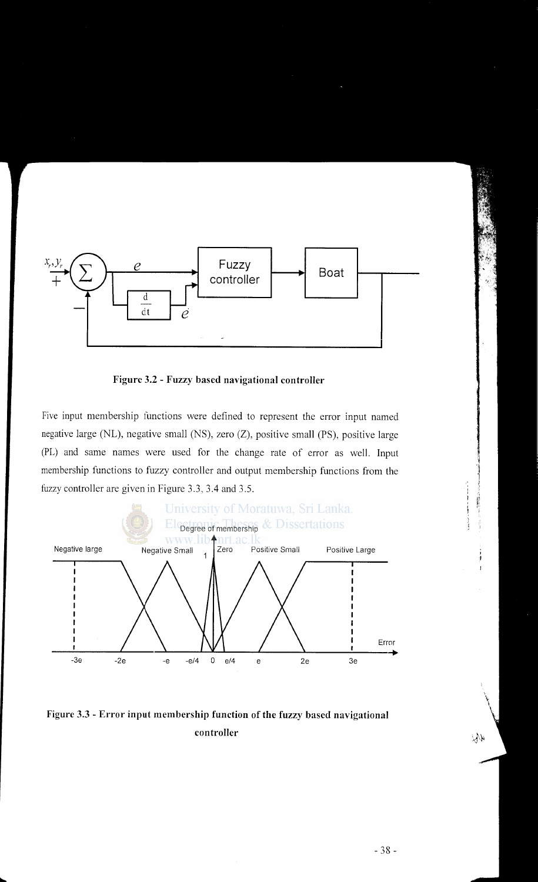

**Figure 3.2 - Fuzzy based navigational controller** 

Five input membership functions were defined to represent the error input named negative large (NL), negative small (NS), zero (Z), positive small (PS), positive large (PL) and same names were used for the change rate of error as well. Input membership functions to fuzzy controller and output membership functions from the fuzzy controller are given in Figure 3.3, 3.4 and 3.5.



**Figure** 3.3 - **Error input membership function of the fuzzy based navigational controller**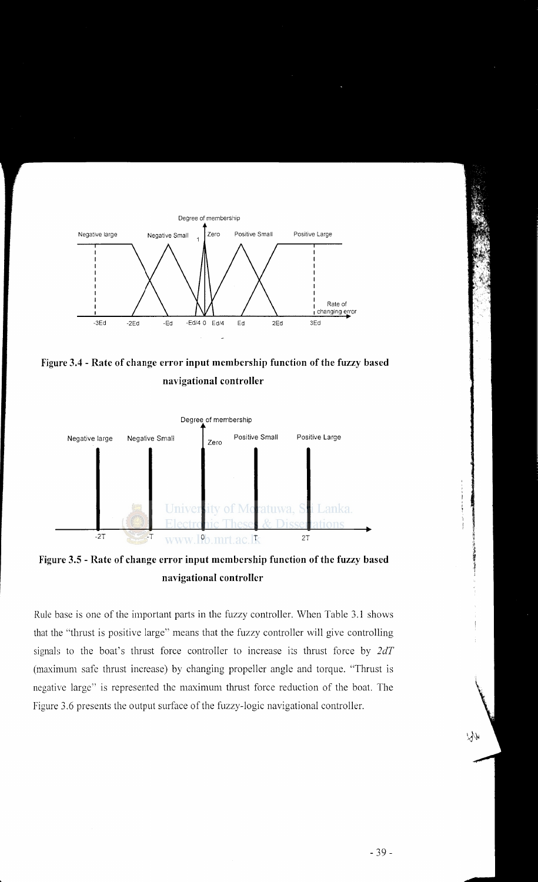

**Figure 3.4 -Rate of change error input membership function of the fuzzy based navigational controller** 



**Figure 3.5 - Rate of change error input membership function of the fuzzy based navigational controller** 

Rule base is one of the important parts in the fuzzy controller. When Table 3.1 shows that the "thrust is positive large" means that the fuzzy controller will give controlling signab to the boat's thrust force controller to increase its thrust force by *2dT*  (maximum safe thrust increase) by changing propeller angle and torque. "Thrust is negative large" is represented the maximum thrust force reduction of the boat. The Figure 3.6 presents the output surface of the fuzzy-logic navigational controller.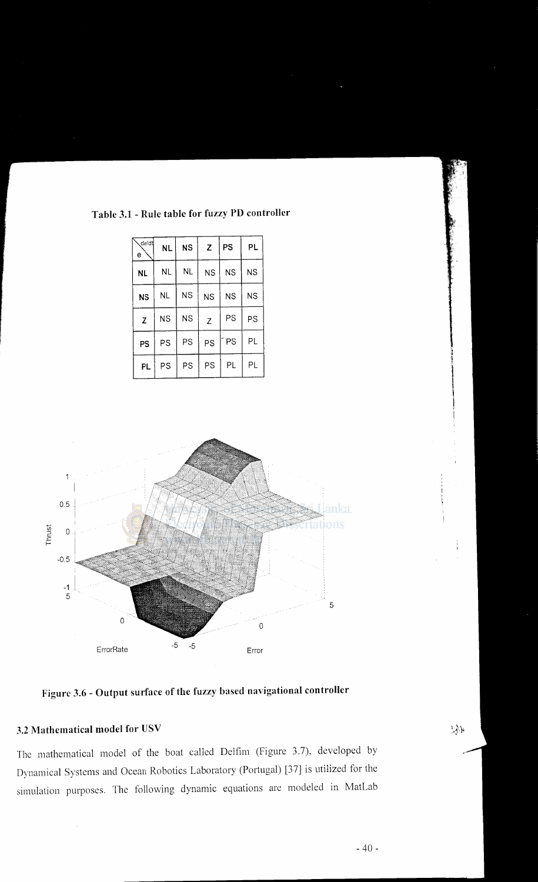# **Table 3.1 -Rule table for fuzzy PD controller**

| de/dt,<br>e  | NL        | <b>NS</b> | Z         | PS        | PL        |
|--------------|-----------|-----------|-----------|-----------|-----------|
| <b>NL</b>    | <b>NL</b> | <b>NL</b> | <b>NS</b> | <b>NS</b> | <b>NS</b> |
| <b>NS</b>    | NL        | <b>NS</b> | <b>NS</b> | <b>NS</b> | <b>NS</b> |
| $\mathbf{Z}$ | <b>NS</b> | <b>NS</b> | Z         | PS        | PS        |
| PS           | PS        | PS        | PS        | PS        | PL        |
| PL           | PS        | PS        | PS        | PL        | PL        |



**Figure 3.6 - Output surface of the fuzzy based navigational controller** 

### 3.2 **Mathematical model for USV**

The mathematical model of the boat called Delfim (Figure 3.7), developed by Dynamical Systems and Ocean Robotics Laboratory (Portugal) [37] is utilized for the simulation purposes. The following dynamic equations are modeled in MatLab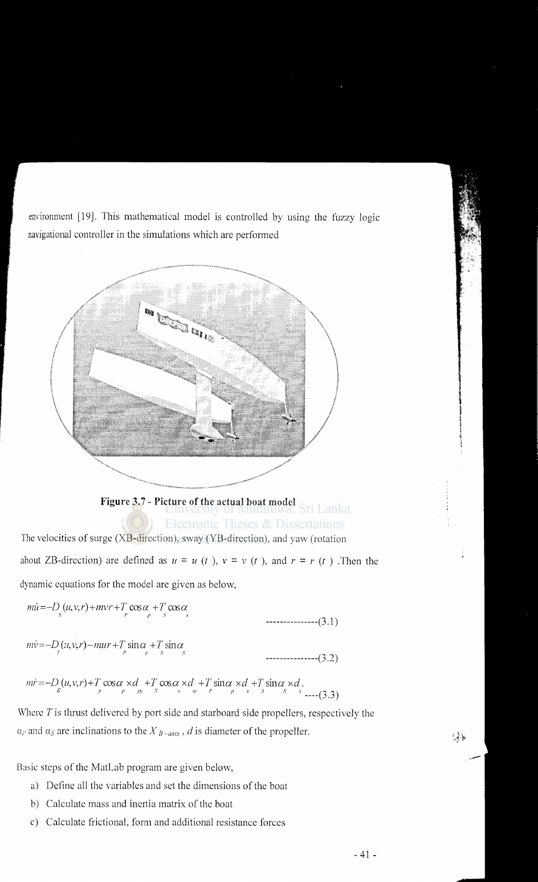environment [19]. This mathematical model is controlled by using the fuzzy logic navigational controller in the simulations which are performed



# **Figure** 3. 7 - **Picture of the actual boat model Electronic Theses & Dissertations**

The velocities of surge (XB-direction), sway (YB-direction), and yaw (rotation about ZB-direction) are defined as  $u = u(t)$ ,  $v = v(t)$ , and  $r = r(t)$ . Then the dynamic equations for the model are given as below,

$$
mi = -D_x(u, v, r) + mvr + T_p \cos \alpha + T_s \cos \alpha
$$
  
............(3.1)

$$
mv = -D_{r}(u, v, r) - mur + T_{p} \sin \alpha_{p} + T_{s} \sin \alpha_{s}
$$

---------------(3.2)

$$
m\dot{r} = -D_{\varepsilon}(u, v, r) + T_{\varepsilon} \cos \alpha \times d_{\varepsilon} + T_{\varepsilon} \cos \alpha \times d_{\varepsilon} + T_{\varepsilon} \sin \alpha \times d_{\varepsilon} + T_{\varepsilon} \sin \alpha \times d_{\varepsilon}.
$$

Where  $T$  is thrust delivered by port side and starboard side propellers, respectively the  $a_P$  and  $a_S$  are inclinations to the  $X_{B-axis}$ , *d* is diameter of the propeller.

Basic steps of the MatLab program are given below,

- a) Define all the variables and set the dimensions of the boat
- b) Calculate mass and inertia matrix of the boat
- c) Calculate frictional, form and additional resistance forces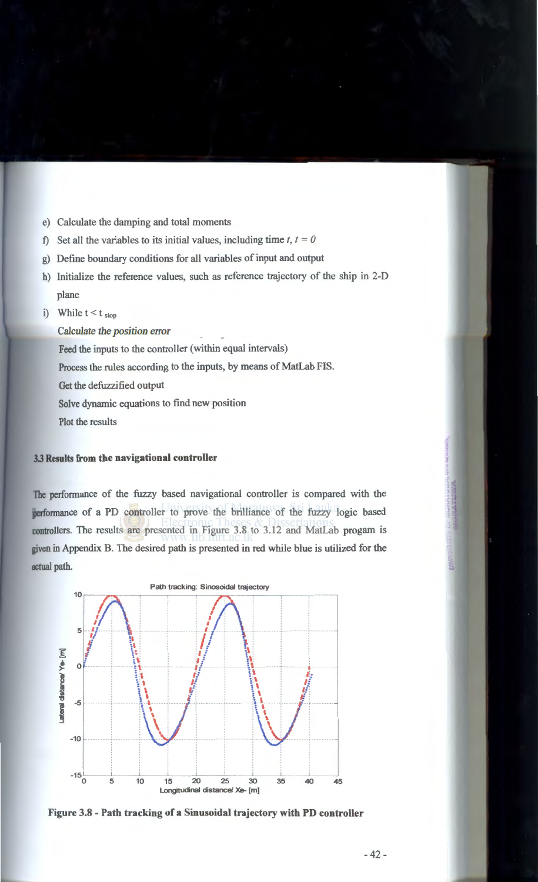- e) Calculate the damping and total moments
- f) Set all the variables to its initial values, including time  $t, t = 0$
- g) Define boundary conditions for all variables of input and output
- h) Initialize the reference values, such as reference trajectory of the ship in 2-D plane
- i) While  $t < t$  stop

Calculate the *position error* 

Feed the inputs to the controller (within equal intervals)

Process the rules according to the inputs, by means of MatLab FIS.

Get the defuzzified output

Solve dynamic equations to find new position

Plot the results

#### 3.3 **Results from the navigational controller**

The perfonnance of the fuzzy based navigational controller is compared with the performance of a PD controller to prove the brilliance of the fuzzy logic based controllers. The results are presented in Figure 3.8 to 3.12 and MatLab progam is given in Appendix B. The desired path is presented in red while blue is utilized for the actual path.



**Figure** 3.8 - **Path tracking of a Sinusoidal trajectory with PD controller**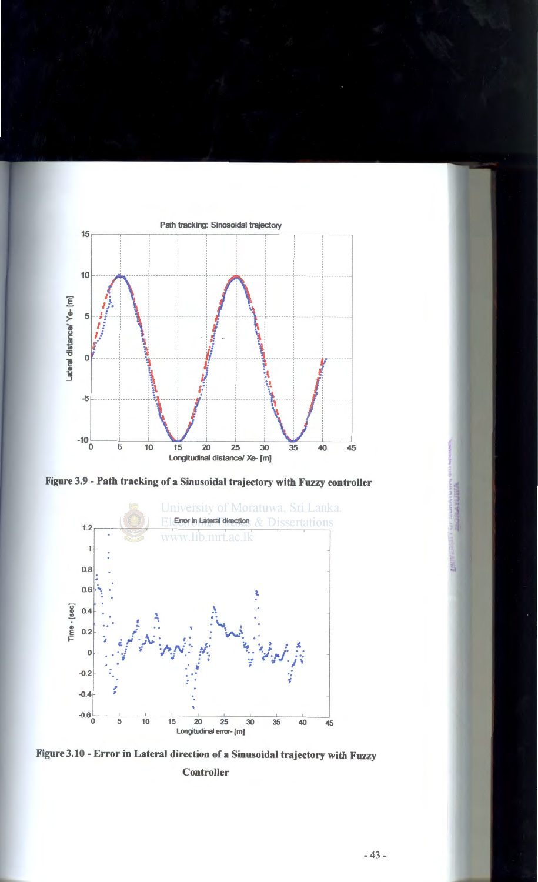

Figure 3.9 - Path tracking of a Sinusoidal trajectory with Fuzzy controller



Figure 3.10- Error in Lateral direction of a Sinusoidal trajectory with Fuzzy Controller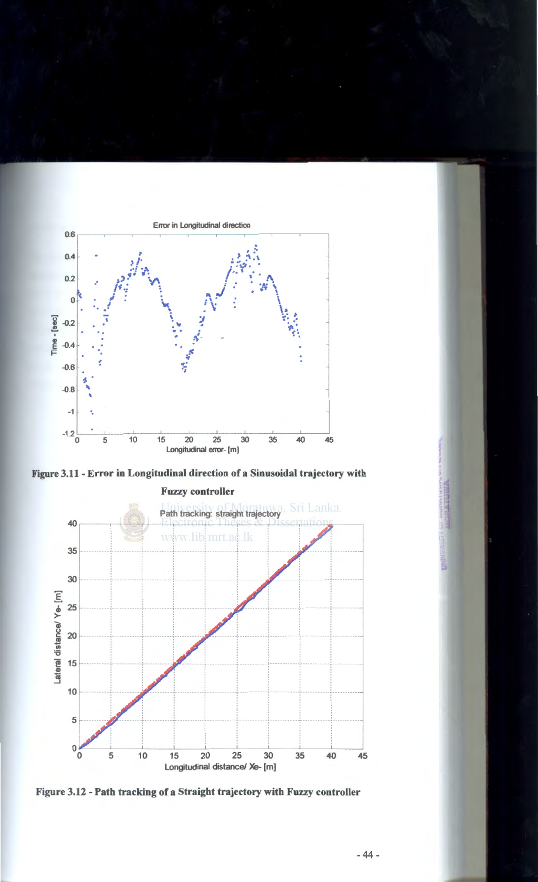

Figure 3.11 - Error in Longitudinal direction of a Sinusoidal trajectory with



Figure 3.12 - Path tracking of a Straight trajectory with Fuzzy controller